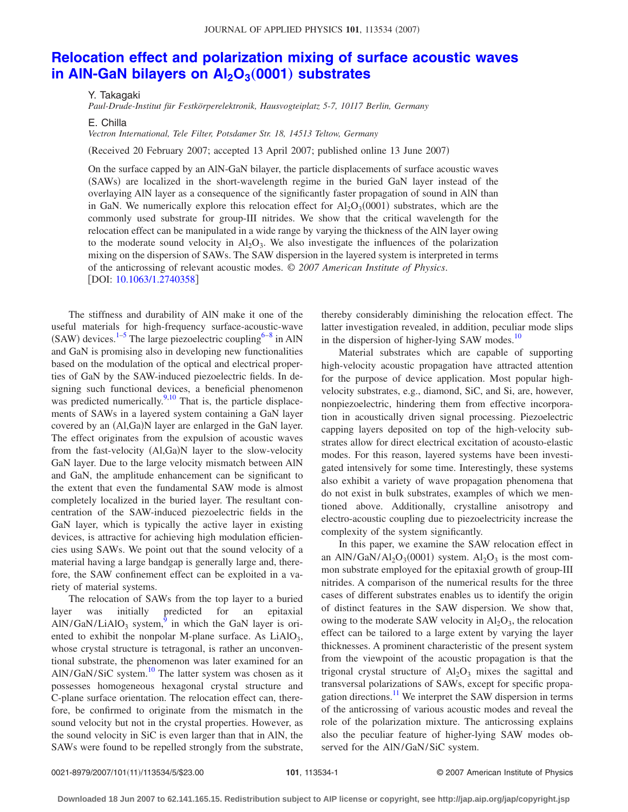## **[Relocation effect and polarization mixing of surface acoustic waves](http://dx.doi.org/10.1063/1.2740358) in AIN-GaN bilayers on Al<sub>2</sub>O<sub>3</sub>(0001) substrates**

Y. Takagaki

*Paul-Drude-Institut für Festkörperelektronik, Hausvogteiplatz 5-7, 10117 Berlin, Germany*

E. Chilla

*Vectron International, Tele Filter, Potsdamer Str. 18, 14513 Teltow, Germany*

(Received 20 February 2007; accepted 13 April 2007; published online 13 June 2007)

On the surface capped by an AlN-GaN bilayer, the particle displacements of surface acoustic waves (SAWs) are localized in the short-wavelength regime in the buried GaN layer instead of the overlaying AlN layer as a consequence of the significantly faster propagation of sound in AlN than in GaN. We numerically explore this relocation effect for  $Al_2O_3(0001)$  substrates, which are the commonly used substrate for group-III nitrides. We show that the critical wavelength for the relocation effect can be manipulated in a wide range by varying the thickness of the AlN layer owing to the moderate sound velocity in  $A_1O_3$ . We also investigate the influences of the polarization mixing on the dispersion of SAWs. The SAW dispersion in the layered system is interpreted in terms of the anticrossing of relevant acoustic modes. © *2007 American Institute of Physics*. [DOI: [10.1063/1.2740358](http://dx.doi.org/10.1063/1.2740358)]

The stiffness and durability of AlN make it one of the useful materials for high-frequency surface-acoustic-wave (SAW) devices.<sup>1–[5](#page-4-1)</sup> The large piezoelectric coupling<sup>6[–8](#page-4-0)</sup> in AlN and GaN is promising also in developing new functionalities based on the modulation of the optical and electrical properties of GaN by the SAW-induced piezoelectric fields. In designing such functional devices, a beneficial phenomenon was predicted numerically. $9,10$  $9,10$  That is, the particle displacements of SAWs in a layered system containing a GaN layer covered by an (Al,Ga)N layer are enlarged in the GaN layer. The effect originates from the expulsion of acoustic waves from the fast-velocity (Al,Ga)N layer to the slow-velocity GaN layer. Due to the large velocity mismatch between AlN and GaN, the amplitude enhancement can be significant to the extent that even the fundamental SAW mode is almost completely localized in the buried layer. The resultant concentration of the SAW-induced piezoelectric fields in the GaN layer, which is typically the active layer in existing devices, is attractive for achieving high modulation efficiencies using SAWs. We point out that the sound velocity of a material having a large bandgap is generally large and, therefore, the SAW confinement effect can be exploited in a variety of material systems.

The relocation of SAWs from the top layer to a buried<br>r was initially predicted for an epitaxial layer was initially predicted for an epitaxial  $AIN/GaN/LiAIO<sub>3</sub>$  system,<sup>9</sup> in which the GaN layer is oriented to exhibit the nonpolar M-plane surface. As LiAlO<sub>3</sub>, whose crystal structure is tetragonal, is rather an unconventional substrate, the phenomenon was later examined for an AlN/GaN/SiC system. $10$  The latter system was chosen as it possesses homogeneous hexagonal crystal structure and C-plane surface orientation. The relocation effect can, therefore, be confirmed to originate from the mismatch in the sound velocity but not in the crystal properties. However, as the sound velocity in SiC is even larger than that in AlN, the SAWs were found to be repelled strongly from the substrate,

thereby considerably diminishing the relocation effect. The latter investigation revealed, in addition, peculiar mode slips in the dispersion of higher-lying SAW modes.<sup>10</sup>

Material substrates which are capable of supporting high-velocity acoustic propagation have attracted attention for the purpose of device application. Most popular highvelocity substrates, e.g., diamond, SiC, and Si, are, however, nonpiezoelectric, hindering them from effective incorporation in acoustically driven signal processing. Piezoelectric capping layers deposited on top of the high-velocity substrates allow for direct electrical excitation of acousto-elastic modes. For this reason, layered systems have been investigated intensively for some time. Interestingly, these systems also exhibit a variety of wave propagation phenomena that do not exist in bulk substrates, examples of which we mentioned above. Additionally, crystalline anisotropy and electro-acoustic coupling due to piezoelectricity increase the complexity of the system significantly.

In this paper, we examine the SAW relocation effect in an AlN/GaN/Al<sub>2</sub>O<sub>3</sub>(0001) system. Al<sub>2</sub>O<sub>3</sub> is the most common substrate employed for the epitaxial growth of group-III nitrides. A comparison of the numerical results for the three cases of different substrates enables us to identify the origin of distinct features in the SAW dispersion. We show that, owing to the moderate SAW velocity in  $Al_2O_3$ , the relocation effect can be tailored to a large extent by varying the layer thicknesses. A prominent characteristic of the present system from the viewpoint of the acoustic propagation is that the trigonal crystal structure of  $Al_2O_3$  mixes the sagittal and transversal polarizations of SAWs, except for specific propagation directions.<sup>11</sup> We interpret the SAW dispersion in terms of the anticrossing of various acoustic modes and reveal the role of the polarization mixture. The anticrossing explains also the peculiar feature of higher-lying SAW modes observed for the AlN/GaN/SiC system.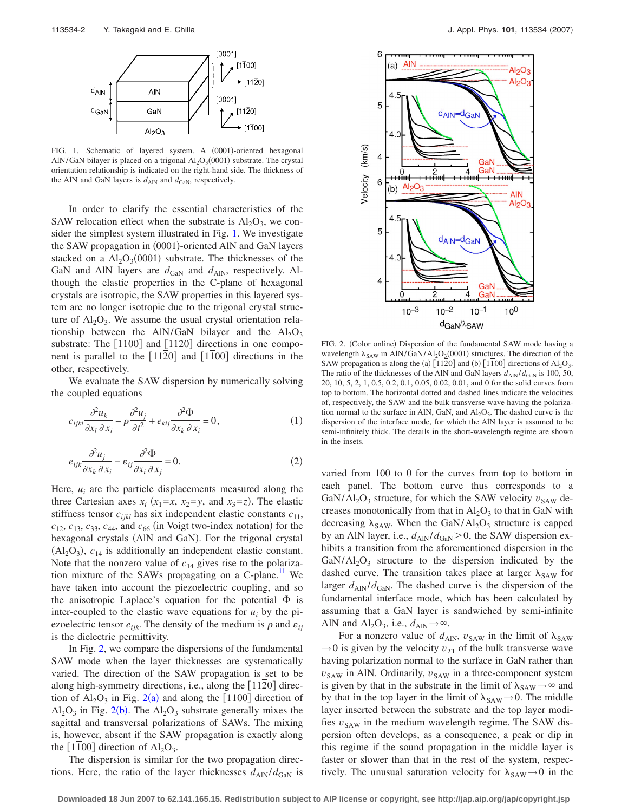<span id="page-1-0"></span>

FIG. 1. Schematic of layered system. A (0001)-oriented hexagonal AlN/GaN bilayer is placed on a trigonal  $Al_2O_3(0001)$  substrate. The crystal orientation relationship is indicated on the right-hand side. The thickness of the AlN and GaN layers is  $d_{\text{AlN}}$  and  $d_{\text{GaN}}$ , respectively.

In order to clarify the essential characteristics of the SAW relocation effect when the substrate is  $Al_2O_3$ , we consider the simplest system illustrated in Fig. [1.](#page-1-0) We investigate the SAW propagation in (0001)-oriented AlN and GaN layers stacked on a  $Al_2O_3(0001)$  substrate. The thicknesses of the GaN and AlN layers are  $d_{\text{GAN}}$  and  $d_{\text{AIN}}$ , respectively. Although the elastic properties in the C-plane of hexagonal crystals are isotropic, the SAW properties in this layered system are no longer isotropic due to the trigonal crystal structure of  $Al_2O_3$ . We assume the usual crystal orientation relationship between the AlN/GaN bilayer and the  $Al_2O_3$ substrate: The  $[1100]$  and  $[1120]$  directions in one component is parallel to the  $[1120]$  and  $[1100]$  directions in the other, respectively.

We evaluate the SAW dispersion by numerically solving the coupled equations

$$
c_{ijkl}\frac{\partial^2 u_k}{\partial x_l \partial x_i} - \rho \frac{\partial^2 u_j}{\partial t^2} + e_{kij}\frac{\partial^2 \Phi}{\partial x_k \partial x_i} = 0, \tag{1}
$$

$$
e_{ijk}\frac{\partial^2 u_j}{\partial x_k \partial x_i} - \varepsilon_{ij}\frac{\partial^2 \Phi}{\partial x_i \partial x_j} = 0.
$$
 (2)

Here,  $u_i$  are the particle displacements measured along the three Cartesian axes  $x_i$  ( $x_1 = x$ ,  $x_2 = y$ , and  $x_3 = z$ ). The elastic stiffness tensor  $c_{ijkl}$  has six independent elastic constants  $c_{11}$ ,  $c_{12}$ ,  $c_{13}$ ,  $c_{33}$ ,  $c_{44}$ , and  $c_{66}$  (in Voigt two-index notation) for the hexagonal crystals (AlN and GaN). For the trigonal crystal  $(Al<sub>2</sub>O<sub>3</sub>)$ ,  $c<sub>14</sub>$  is additionally an independent elastic constant. Note that the nonzero value of  $c_{14}$  gives rise to the polarization mixture of the SAWs propagating on a C-plane.<sup>11</sup> We have taken into account the piezoelectric coupling, and so the anisotropic Laplace's equation for the potential  $\Phi$  is inter-coupled to the elastic wave equations for  $u_i$  by the piezoelectric tensor  $e_{ijk}$ . The density of the medium is  $\rho$  and  $\varepsilon_{ij}$ is the dielectric permittivity.

In Fig. [2,](#page-1-1) we compare the dispersions of the fundamental SAW mode when the layer thicknesses are systematically varied. The direction of the SAW propagation is set to be along high-symmetry directions, i.e., along the [1120] direction of  $Al_2O_3$  $Al_2O_3$  $Al_2O_3$  in Fig. 2(a) and along the [1100] direction of  $Al_2O_3$  $Al_2O_3$  $Al_2O_3$  in Fig. 2(b). The  $Al_2O_3$  substrate generally mixes the sagittal and transversal polarizations of SAWs. The mixing is, however, absent if the SAW propagation is exactly along the  $[1100]$  direction of  $Al_2O_3$ .

The dispersion is similar for the two propagation directions. Here, the ratio of the layer thicknesses  $d_{\text{AlN}}/d_{\text{GaN}}$  is

<span id="page-1-1"></span>

FIG. 2. (Color online) Dispersion of the fundamental SAW mode having a wavelength  $\lambda_{SAW}$  in AlN/GaN/Al<sub>2</sub>O<sub>2</sub>(0001) structures. The direction of the SAW propagation is along the (a)  $[1120]$  and (b)  $[1100]$  directions of  $Al_2O_3$ . The ratio of the thicknesses of the AlN and GaN layers  $d_{\text{AlN}}/d_{\text{GaN}}$  is 100, 50, 20, 10, 5, 2, 1, 0.5, 0.2, 0.1, 0.05, 0.02, 0.01, and 0 for the solid curves from top to bottom. The horizontal dotted and dashed lines indicate the velocities of, respectively, the SAW and the bulk transverse wave having the polarization normal to the surface in AlN, GaN, and  $Al_2O_3$ . The dashed curve is the dispersion of the interface mode, for which the AlN layer is assumed to be semi-infinitely thick. The details in the short-wavelength regime are shown in the insets.

varied from 100 to 0 for the curves from top to bottom in each panel. The bottom curve thus corresponds to a GaN/Al<sub>2</sub>O<sub>3</sub> structure, for which the SAW velocity  $v_{SAW}$  decreases monotonically from that in  $\text{Al}_2\text{O}_3$  to that in GaN with decreasing  $\lambda_{SAW}$ . When the GaN/Al<sub>2</sub>O<sub>3</sub> structure is capped by an AlN layer, i.e.,  $d_{\text{AlN}}/d_{\text{GaN}}$  > 0, the SAW dispersion exhibits a transition from the aforementioned dispersion in the  $GaN/Al<sub>2</sub>O<sub>3</sub>$  structure to the dispersion indicated by the dashed curve. The transition takes place at larger  $\lambda_{SAW}$  for larger  $d_{\text{AlN}}/d_{\text{GAN}}$ . The dashed curve is the dispersion of the fundamental interface mode, which has been calculated by assuming that a GaN layer is sandwiched by semi-infinite AlN and  $\text{Al}_2\text{O}_3$ , i.e.,  $d_{\text{Al}N} \rightarrow \infty$ .

For a nonzero value of  $d_{\text{AlN}}$ ,  $v_{\text{SAW}}$  in the limit of  $\lambda_{\text{SAW}}$  $\rightarrow$  0 is given by the velocity  $v_{T1}$  of the bulk transverse wave having polarization normal to the surface in GaN rather than  $v_{SAW}$  in AlN. Ordinarily,  $v_{SAW}$  in a three-component system is given by that in the substrate in the limit of  $\lambda_{SAW} \rightarrow \infty$  and by that in the top layer in the limit of  $\lambda_{SAW} \rightarrow 0$ . The middle layer inserted between the substrate and the top layer modifies  $v_{SAW}$  in the medium wavelength regime. The SAW dispersion often develops, as a consequence, a peak or dip in this regime if the sound propagation in the middle layer is faster or slower than that in the rest of the system, respectively. The unusual saturation velocity for  $\lambda_{SAW} \rightarrow 0$  in the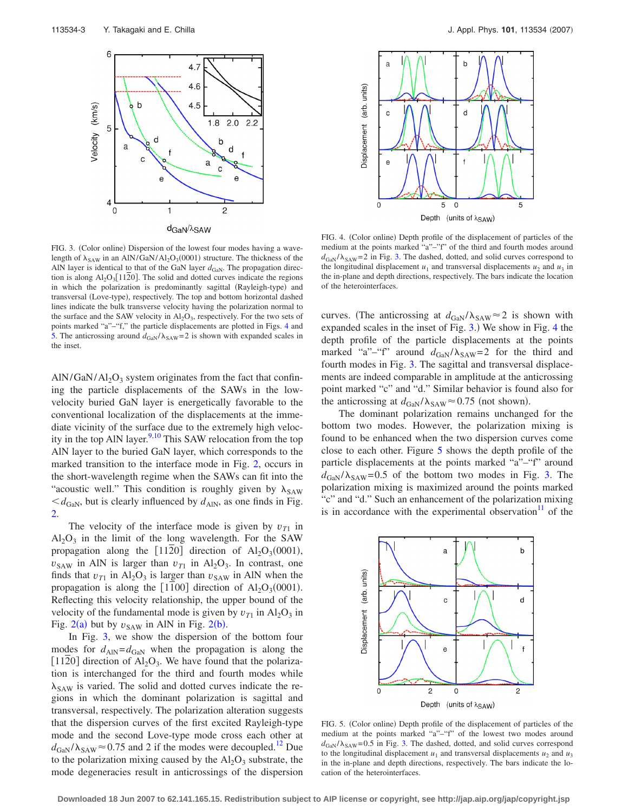<span id="page-2-0"></span>

FIG. 3. (Color online) Dispersion of the lowest four modes having a wavelength of  $\lambda_{SAW}$  in an AlN/GaN/Al<sub>2</sub>O<sub>3</sub>(0001) structure. The thickness of the AlN layer is identical to that of the GaN layer  $d_{\text{GaN}}$ . The propagation direction is along  $Al_2O_3[1120]$ . The solid and dotted curves indicate the regions in which the polarization is predominantly sagittal (Rayleigh-type) and transversal (Love-type), respectively. The top and bottom horizontal dashed lines indicate the bulk transverse velocity having the polarization normal to the surface and the SAW velocity in  $Al_2O_3$ , respectively. For the two sets of points marked "a"–"f," the particle displacements are plotted in Figs. [4](#page-2-1) and [5.](#page-2-2) The anticrossing around  $d_{\text{GAN}}/\lambda_{\text{SAW}} = 2$  is shown with expanded scales in the inset.

 $AIN/GaN/Al<sub>2</sub>O<sub>3</sub>$  system originates from the fact that confining the particle displacements of the SAWs in the lowvelocity buried GaN layer is energetically favorable to the conventional localization of the displacements at the immediate vicinity of the surface due to the extremely high velocity in the top AlN layer. $9,10$  $9,10$  This SAW relocation from the top AlN layer to the buried GaN layer, which corresponds to the marked transition to the interface mode in Fig. [2,](#page-1-1) occurs in the short-wavelength regime when the SAWs can fit into the "acoustic well." This condition is roughly given by  $\lambda_{SAW}$  $\langle d_{\text{GaN}}$ , but is clearly influenced by  $d_{\text{AlN}}$ , as one finds in Fig. [2.](#page-1-1)

The velocity of the interface mode is given by  $v_{T1}$  in  $Al_2O_3$  in the limit of the long wavelength. For the SAW propagation along the [1120] direction of  $Al_2O_3(0001)$ ,  $v_{SAW}$  in AlN is larger than  $v_{T1}$  in Al<sub>2</sub>O<sub>3</sub>. In contrast, one finds that  $v_{T1}$  in Al<sub>2</sub>O<sub>3</sub> is larger than  $v_{SAW}$  in AlN when the propagation is along the [1100] direction of  $Al_2O_3(0001)$ . Reflecting this velocity relationship, the upper bound of the velocity of the fundamental mode is given by  $v_{T1}$  in Al<sub>2</sub>O<sub>3</sub> in Fig.  $2(a)$  $2(a)$  but by  $v_{SAW}$  in AlN in Fig.  $2(b)$ .

In Fig. [3,](#page-2-0) we show the dispersion of the bottom four modes for  $d_{\text{AlN}} = d_{\text{GAN}}$  when the propagation is along the [1120] direction of  $Al_2O_3$ . We have found that the polarization is interchanged for the third and fourth modes while  $\lambda_{SAW}$  is varied. The solid and dotted curves indicate the regions in which the dominant polarization is sagittal and transversal, respectively. The polarization alteration suggests that the dispersion curves of the first excited Rayleigh-type mode and the second Love-type mode cross each other at  $d_{\text{GAN}}/\lambda_{\text{SAW}} \approx 0.75$  and 2 if the modes were decoupled.<sup>12</sup> Due to the polarization mixing caused by the  $A<sub>1</sub>O<sub>3</sub>$  substrate, the mode degeneracies result in anticrossings of the dispersion

<span id="page-2-1"></span>

FIG. 4. (Color online) Depth profile of the displacement of particles of the medium at the points marked "a"–"f" of the third and fourth modes around  $d_{\text{GaN}}/\lambda_{\text{SAW}} = 2$  in Fig. [3.](#page-2-0) The dashed, dotted, and solid curves correspond to the longitudinal displacement  $u_1$  and transversal displacements  $u_2$  and  $u_3$  in the in-plane and depth directions, respectively. The bars indicate the location of the heterointerfaces.

curves. (The anticrossing at  $d_{\text{GAN}} / \lambda_{\text{SAW}} \approx 2$  is shown with expanded scales in the inset of Fig. [3.](#page-2-0)) We show in Fig. [4](#page-2-1) the depth profile of the particle displacements at the points marked "a"–"f" around  $d_{\text{GaN}}/\lambda_{\text{SAW}} = 2$  for the third and fourth modes in Fig. [3.](#page-2-0) The sagittal and transversal displacements are indeed comparable in amplitude at the anticrossing point marked "c" and "d." Similar behavior is found also for the anticrossing at  $d_{\text{GaN}}/\lambda_{\text{SAW}} \approx 0.75$  (not shown).

The dominant polarization remains unchanged for the bottom two modes. However, the polarization mixing is found to be enhanced when the two dispersion curves come close to each other. Figure [5](#page-2-2) shows the depth profile of the particle displacements at the points marked "a"–"f" around  $d_{\text{GaN}}/\lambda_{\text{SAW}} = 0.5$  of the bottom two modes in Fig. [3.](#page-2-0) The polarization mixing is maximized around the points marked "c" and "d." Such an enhancement of the polarization mixing is in accordance with the experimental observation $\frac{11}{11}$  of the

<span id="page-2-2"></span>

FIG. 5. (Color online) Depth profile of the displacement of particles of the medium at the points marked "a"–"f" of the lowest two modes around  $d_{\text{GaN}}/\lambda_{\text{SAW}}$ =0.5 in Fig. [3.](#page-2-0) The dashed, dotted, and solid curves correspond to the longitudinal displacement  $u_1$  and transversal displacements  $u_2$  and  $u_3$ in the in-plane and depth directions, respectively. The bars indicate the location of the heterointerfaces.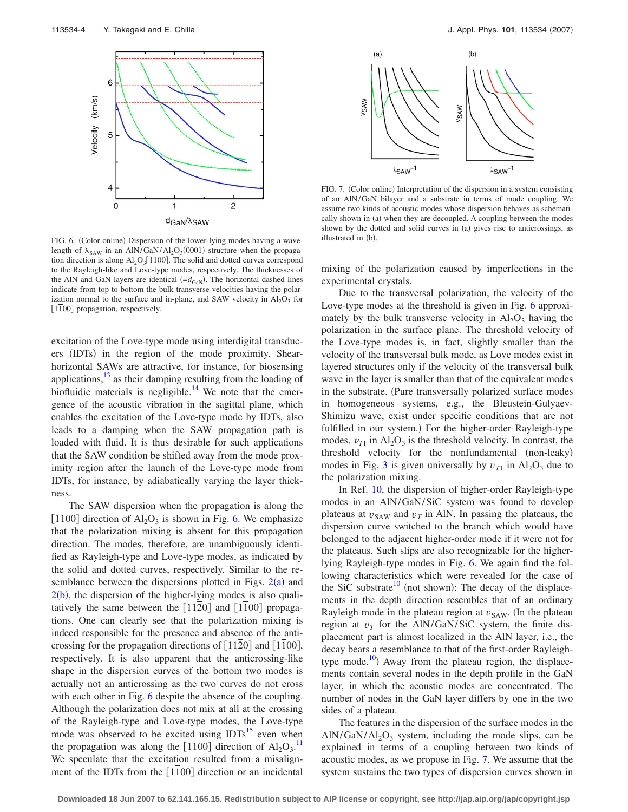<span id="page-3-0"></span>

FIG. 6. (Color online) Dispersion of the lower-lying modes having a wavelength of  $\lambda_{SAW}$  in an AlN/GaN/Al<sub>2</sub>O<sub>3</sub>(0001) structure when the propagation direction is along  $Al_2O_3[1\overline{1}00]$ . The solid and dotted curves correspond to the Rayleigh-like and Love-type modes, respectively. The thicknesses of the AlN and GaN layers are identical  $(=d_{\text{GAN}})$ . The horizontal dashed lines indicate from top to bottom the bulk transverse velocities having the polarization normal to the surface and in-plane, and SAW velocity in  $Al_2O_3$  for  $\lceil 1\overline{1}00 \rceil$  propagation, respectively.

excitation of the Love-type mode using interdigital transducers (IDTs) in the region of the mode proximity. Shearhorizontal SAWs are attractive, for instance, for biosensing applications, $\frac{13}{13}$  as their damping resulting from the loading of biofluidic materials is negligible. $14$  We note that the emergence of the acoustic vibration in the sagittal plane, which enables the excitation of the Love-type mode by IDTs, also leads to a damping when the SAW propagation path is loaded with fluid. It is thus desirable for such applications that the SAW condition be shifted away from the mode proximity region after the launch of the Love-type mode from IDTs, for instance, by adiabatically varying the layer thickness.

The SAW dispersion when the propagation is along the [1100] direction of  $Al_2O_3$  is shown in Fig. [6.](#page-3-0) We emphasize that the polarization mixing is absent for this propagation direction. The modes, therefore, are unambiguously identified as Rayleigh-type and Love-type modes, as indicated by the solid and dotted curves, respectively. Similar to the resemblance between the dispersions plotted in Figs.  $2(a)$  $2(a)$  and  $2(b)$  $2(b)$ , the dispersion of the higher-lying modes is also qualitatively the same between the  $[1120]$  and  $[1100]$  propagations. One can clearly see that the polarization mixing is indeed responsible for the presence and absence of the anticrossing for the propagation directions of  $[1120]$  and  $[1100]$ , respectively. It is also apparent that the anticrossing-like shape in the dispersion curves of the bottom two modes is actually not an anticrossing as the two curves do not cross with each other in Fig. [6](#page-3-0) despite the absence of the coupling. Although the polarization does not mix at all at the crossing of the Rayleigh-type and Love-type modes, the Love-type mode was observed to be excited using  $IDTs<sup>15</sup>$  even when the propagation was along the  $[1\overline{1}00]$  direction of  $Al_2O_3$ .<sup>[11](#page-4-5)</sup> We speculate that the excitation resulted from a misalignment of the IDTs from the  $[1100]$  direction or an incidental

<span id="page-3-1"></span>

FIG. 7. (Color online) Interpretation of the dispersion in a system consisting of an AlN/GaN bilayer and a substrate in terms of mode coupling. We assume two kinds of acoustic modes whose dispersion behaves as schematically shown in (a) when they are decoupled. A coupling between the modes shown by the dotted and solid curves in (a) gives rise to anticrossings, as illustrated in (b).

mixing of the polarization caused by imperfections in the experimental crystals.

Due to the transversal polarization, the velocity of the Love-type modes at the threshold is given in Fig. [6](#page-3-0) approximately by the bulk transverse velocity in  $Al_2O_3$  having the polarization in the surface plane. The threshold velocity of the Love-type modes is, in fact, slightly smaller than the velocity of the transversal bulk mode, as Love modes exist in layered structures only if the velocity of the transversal bulk wave in the layer is smaller than that of the equivalent modes in the substrate. (Pure transversally polarized surface modes in homogeneous systems, e.g., the Bleustein-Gulyaev-Shimizu wave, exist under specific conditions that are not fulfilled in our system.) For the higher-order Rayleigh-type modes,  $\nu_{T1}$  in Al<sub>2</sub>O<sub>3</sub> is the threshold velocity. In contrast, the threshold velocity for the nonfundamental (non-leaky) modes in Fig. [3](#page-2-0) is given universally by  $v_{T1}$  in Al<sub>2</sub>O<sub>3</sub> due to the polarization mixing.

In Ref. [10,](#page-4-4) the dispersion of higher-order Rayleigh-type modes in an AlN/GaN/SiC system was found to develop plateaus at  $v_{SAW}$  and  $v_T$  in AlN. In passing the plateaus, the dispersion curve switched to the branch which would have belonged to the adjacent higher-order mode if it were not for the plateaus. Such slips are also recognizable for the higherlying Rayleigh-type modes in Fig. [6.](#page-3-0) We again find the following characteristics which were revealed for the case of the SiC substrate<sup>10</sup> (not shown): The decay of the displacements in the depth direction resembles that of an ordinary Rayleigh mode in the plateau region at  $v_{\text{SAW}}$ . (In the plateau region at  $v_T$  for the AlN/GaN/SiC system, the finite displacement part is almost localized in the AlN layer, i.e., the decay bears a resemblance to that of the first-order Rayleightype mode.<sup>10</sup>) Away from the plateau region, the displacements contain several nodes in the depth profile in the GaN layer, in which the acoustic modes are concentrated. The number of nodes in the GaN layer differs by one in the two sides of a plateau.

The features in the dispersion of the surface modes in the  $\text{AlN/GaN}/\text{Al}_2\text{O}_3$  system, including the mode slips, can be explained in terms of a coupling between two kinds of acoustic modes, as we propose in Fig. [7.](#page-3-1) We assume that the system sustains the two types of dispersion curves shown in